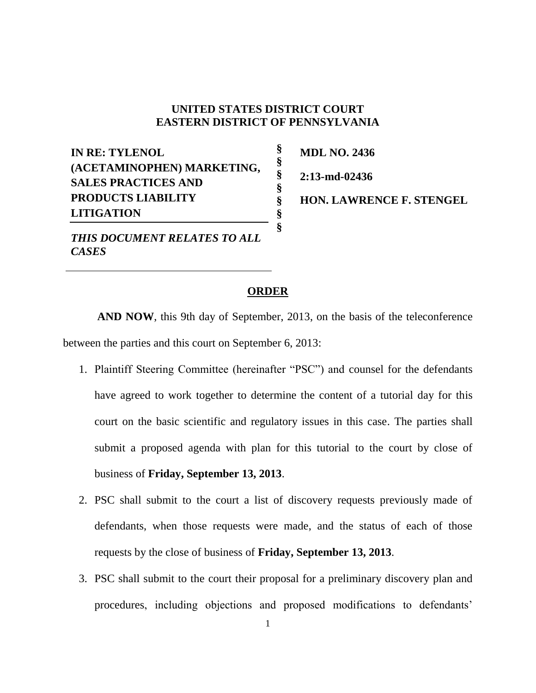## **UNITED STATES DISTRICT COURT EASTERN DISTRICT OF PENNSYLVANIA**

**§ § § § § § §**

**IN RE: TYLENOL (ACETAMINOPHEN) MARKETING, SALES PRACTICES AND PRODUCTS LIABILITY LITIGATION**

*THIS DOCUMENT RELATES TO ALL CASES*

**MDL NO. 2436 2:13-md-02436 HON. LAWRENCE F. STENGEL** 

## **ORDER**

**AND NOW**, this 9th day of September, 2013, on the basis of the teleconference between the parties and this court on September 6, 2013:

- 1. Plaintiff Steering Committee (hereinafter "PSC") and counsel for the defendants have agreed to work together to determine the content of a tutorial day for this court on the basic scientific and regulatory issues in this case. The parties shall submit a proposed agenda with plan for this tutorial to the court by close of business of **Friday, September 13, 2013**.
- 2. PSC shall submit to the court a list of discovery requests previously made of defendants, when those requests were made, and the status of each of those requests by the close of business of **Friday, September 13, 2013**.
- 3. PSC shall submit to the court their proposal for a preliminary discovery plan and procedures, including objections and proposed modifications to defendants'